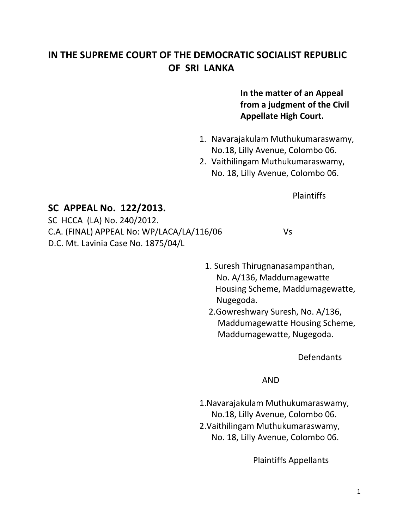## **IN THE SUPREME COURT OF THE DEMOCRATIC SOCIALIST REPUBLIC OF SRI LANKA**

## **In the matter of an Appeal from a judgment of the Civil Appellate High Court.**

- 1. Navarajakulam Muthukumaraswamy, No.18, Lilly Avenue, Colombo 06.
- 2. Vaithilingam Muthukumaraswamy, No. 18, Lilly Avenue, Colombo 06.

Plaintiffs

## **SC APPEAL No. 122/2013.**

SC HCCA (LA) No. 240/2012. C.A. (FINAL) APPEAL No: WP/LACA/LA/116/06 Vs D.C. Mt. Lavinia Case No. 1875/04/L

- 1. Suresh Thirugnanasampanthan, No. A/136, Maddumagewatte Housing Scheme, Maddumagewatte, Nugegoda.
- 2.Gowreshwary Suresh, No. A/136, Maddumagewatte Housing Scheme, Maddumagewatte, Nugegoda.

Defendants

AND

1.Navarajakulam Muthukumaraswamy, No.18, Lilly Avenue, Colombo 06. 2.Vaithilingam Muthukumaraswamy, No. 18, Lilly Avenue, Colombo 06.

Plaintiffs Appellants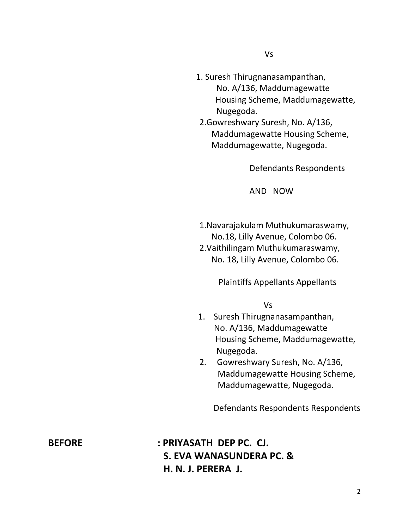- 1. Suresh Thirugnanasampanthan, No. A/136, Maddumagewatte Housing Scheme, Maddumagewatte, Nugegoda. 2.Gowreshwary Suresh, No. A/136,
	- Maddumagewatte Housing Scheme, Maddumagewatte, Nugegoda.

Defendants Respondents

AND NOW

1.Navarajakulam Muthukumaraswamy, No.18, Lilly Avenue, Colombo 06. 2.Vaithilingam Muthukumaraswamy, No. 18, Lilly Avenue, Colombo 06.

Plaintiffs Appellants Appellants

Vs

- 1. Suresh Thirugnanasampanthan, No. A/136, Maddumagewatte Housing Scheme, Maddumagewatte, Nugegoda.
- 2. Gowreshwary Suresh, No. A/136, Maddumagewatte Housing Scheme, Maddumagewatte, Nugegoda.

Defendants Respondents Respondents

**BEFORE : PRIYASATH DEP PC. CJ. S. EVA WANASUNDERA PC. & H. N. J. PERERA J.**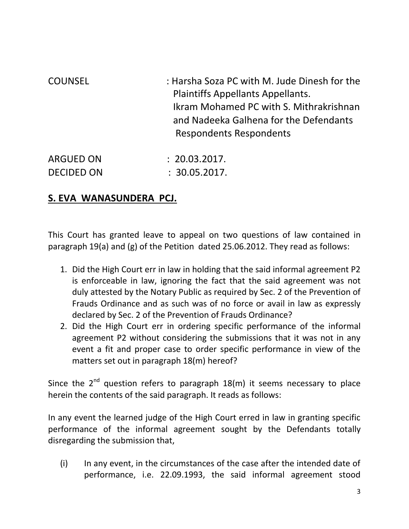| <b>COUNSEL</b>    | : Harsha Soza PC with M. Jude Dinesh for the<br>Plaintiffs Appellants Appellants.<br>Ikram Mohamed PC with S. Mithrakrishnan<br>and Nadeeka Galhena for the Defendants<br><b>Respondents Respondents</b> |
|-------------------|----------------------------------------------------------------------------------------------------------------------------------------------------------------------------------------------------------|
| <b>ARGUED ON</b>  | : 20.03.2017.                                                                                                                                                                                            |
| <b>DECIDED ON</b> | : 30.05.2017.                                                                                                                                                                                            |

## **S. EVA WANASUNDERA PCJ.**

This Court has granted leave to appeal on two questions of law contained in paragraph 19(a) and (g) of the Petition dated 25.06.2012. They read as follows:

- 1. Did the High Court err in law in holding that the said informal agreement P2 is enforceable in law, ignoring the fact that the said agreement was not duly attested by the Notary Public as required by Sec. 2 of the Prevention of Frauds Ordinance and as such was of no force or avail in law as expressly declared by Sec. 2 of the Prevention of Frauds Ordinance?
- 2. Did the High Court err in ordering specific performance of the informal agreement P2 without considering the submissions that it was not in any event a fit and proper case to order specific performance in view of the matters set out in paragraph 18(m) hereof?

Since the  $2^{nd}$  question refers to paragraph  $18(m)$  it seems necessary to place herein the contents of the said paragraph. It reads as follows:

In any event the learned judge of the High Court erred in law in granting specific performance of the informal agreement sought by the Defendants totally disregarding the submission that,

(i) In any event, in the circumstances of the case after the intended date of performance, i.e. 22.09.1993, the said informal agreement stood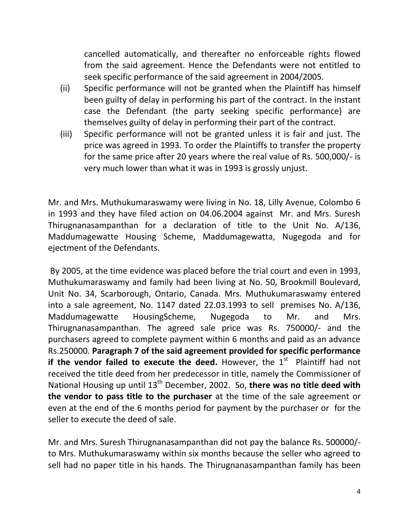cancelled automatically, and thereafter no enforceable rights flowed from the said agreement. Hence the Defendants were not entitled to seek specific performance of the said agreement in 2004/2005.

- (ii) Specific performance will not be granted when the Plaintiff has himself been guilty of delay in performing his part of the contract. In the instant case the Defendant (the party seeking specific performance) are themselves guilty of delay in performing their part of the contract.
- (iii) Specific performance will not be granted unless it is fair and just. The price was agreed in 1993. To order the Plaintiffs to transfer the property for the same price after 20 years where the real value of Rs. 500,000/- is very much lower than what it was in 1993 is grossly unjust.

Mr. and Mrs. Muthukumaraswamy were living in No. 18, Lilly Avenue, Colombo 6 in 1993 and they have filed action on 04.06.2004 against Mr. and Mrs. Suresh Thirugnanasampanthan for a declaration of title to the Unit No. A/136, Maddumagewatte Housing Scheme, Maddumagewatta, Nugegoda and for ejectment of the Defendants.

By 2005, at the time evidence was placed before the trial court and even in 1993, Muthukumaraswamy and family had been living at No. 50, Brookmill Boulevard, Unit No. 34, Scarborough, Ontario, Canada. Mrs. Muthukumaraswamy entered into a sale agreement, No. 1147 dated 22.03.1993 to sell premises No. A/136, Maddumagewatte HousingScheme, Nugegoda to Mr. and Mrs. Thirugnanasampanthan. The agreed sale price was Rs. 750000/- and the purchasers agreed to complete payment within 6 months and paid as an advance Rs.250000. **Paragraph 7 of the said agreement provided for specific performance if the vendor failed to execute the deed.** However, the 1<sup>st</sup> Plaintiff had not received the title deed from her predecessor in title, namely the Commissioner of National Housing up until 13<sup>th</sup> December, 2002. So, there was no title deed with **the vendor to pass title to the purchaser** at the time of the sale agreement or even at the end of the 6 months period for payment by the purchaser or for the seller to execute the deed of sale.

Mr. and Mrs. Suresh Thirugnanasampanthan did not pay the balance Rs. 500000/ to Mrs. Muthukumaraswamy within six months because the seller who agreed to sell had no paper title in his hands. The Thirugnanasampanthan family has been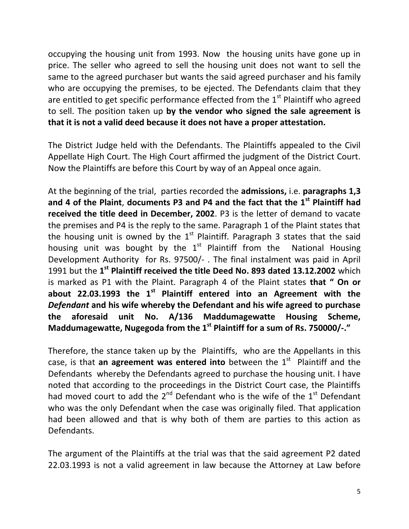occupying the housing unit from 1993. Now the housing units have gone up in price. The seller who agreed to sell the housing unit does not want to sell the same to the agreed purchaser but wants the said agreed purchaser and his family who are occupying the premises, to be ejected. The Defendants claim that they are entitled to get specific performance effected from the  $1<sup>st</sup>$  Plaintiff who agreed to sell. The position taken up **by the vendor who signed the sale agreement is that it is not a valid deed because it does not have a proper attestation.**

The District Judge held with the Defendants. The Plaintiffs appealed to the Civil Appellate High Court. The High Court affirmed the judgment of the District Court. Now the Plaintiffs are before this Court by way of an Appeal once again.

At the beginning of the trial, parties recorded the **admissions,** i.e. **paragraphs 1,3 and 4 of the Plaint**, **documents P3 and P4 and the fact that the 1st Plaintiff had received the title deed in December, 2002**. P3 is the letter of demand to vacate the premises and P4 is the reply to the same. Paragraph 1 of the Plaint states that the housing unit is owned by the  $1<sup>st</sup>$  Plaintiff. Paragraph 3 states that the said housing unit was bought by the  $1<sup>st</sup>$  Plaintiff from the National Housing Development Authority for Rs. 97500/- . The final instalment was paid in April 1991 but the 1<sup>st</sup> Plaintiff received the title Deed No. 893 dated 13.12.2002 which is marked as P1 with the Plaint. Paragraph 4 of the Plaint states **that " On or about 22.03.1993 the 1st Plaintiff entered into an Agreement with the**  *Defendant* **and his wife whereby the Defendant and his wife agreed to purchase the aforesaid unit No. A/136 Maddumagewatte Housing Scheme, Maddumagewatte, Nugegoda from the 1st Plaintiff for a sum of Rs. 750000/-."**

Therefore, the stance taken up by the Plaintiffs, who are the Appellants in this case, is that an agreement was entered into between the 1<sup>st</sup> Plaintiff and the Defendants whereby the Defendants agreed to purchase the housing unit. I have noted that according to the proceedings in the District Court case, the Plaintiffs had moved court to add the  $2^{nd}$  Defendant who is the wife of the  $1^{st}$  Defendant who was the only Defendant when the case was originally filed. That application had been allowed and that is why both of them are parties to this action as Defendants.

The argument of the Plaintiffs at the trial was that the said agreement P2 dated 22.03.1993 is not a valid agreement in law because the Attorney at Law before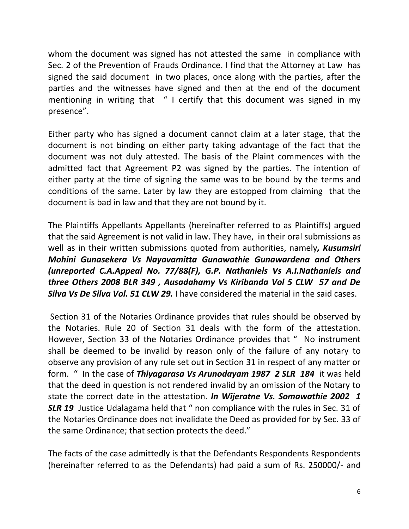whom the document was signed has not attested the same in compliance with Sec. 2 of the Prevention of Frauds Ordinance. I find that the Attorney at Law has signed the said document in two places, once along with the parties, after the parties and the witnesses have signed and then at the end of the document mentioning in writing that " I certify that this document was signed in my presence".

Either party who has signed a document cannot claim at a later stage, that the document is not binding on either party taking advantage of the fact that the document was not duly attested. The basis of the Plaint commences with the admitted fact that Agreement P2 was signed by the parties. The intention of either party at the time of signing the same was to be bound by the terms and conditions of the same. Later by law they are estopped from claiming that the document is bad in law and that they are not bound by it.

The Plaintiffs Appellants Appellants (hereinafter referred to as Plaintiffs) argued that the said Agreement is not valid in law. They have, in their oral submissions as well as in their written submissions quoted from authorities, namely*, Kusumsiri Mohini Gunasekera Vs Nayavamitta Gunawathie Gunawardena and Others (unreported C.A.Appeal No. 77/88(F), G.P. Nathaniels Vs A.I.Nathaniels and three Others 2008 BLR 349 , Ausadahamy Vs Kiribanda Vol 5 CLW 57 and De Silva Vs De Silva Vol. 51 CLW 29.* I have considered the material in the said cases.

Section 31 of the Notaries Ordinance provides that rules should be observed by the Notaries. Rule 20 of Section 31 deals with the form of the attestation. However, Section 33 of the Notaries Ordinance provides that " No instrument shall be deemed to be invalid by reason only of the failure of any notary to observe any provision of any rule set out in Section 31 in respect of any matter or form. " In the case of *Thiyagarasa Vs Arunodayam 1987 2 SLR 184* it was held that the deed in question is not rendered invalid by an omission of the Notary to state the correct date in the attestation. *In Wijeratne Vs. Somawathie 2002 1*  **SLR 19** Justice Udalagama held that " non compliance with the rules in Sec. 31 of the Notaries Ordinance does not invalidate the Deed as provided for by Sec. 33 of the same Ordinance; that section protects the deed."

The facts of the case admittedly is that the Defendants Respondents Respondents (hereinafter referred to as the Defendants) had paid a sum of Rs. 250000/- and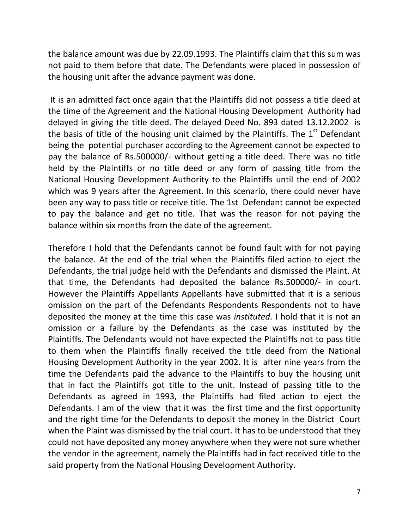the balance amount was due by 22.09.1993. The Plaintiffs claim that this sum was not paid to them before that date. The Defendants were placed in possession of the housing unit after the advance payment was done.

It is an admitted fact once again that the Plaintiffs did not possess a title deed at the time of the Agreement and the National Housing Development Authority had delayed in giving the title deed. The delayed Deed No. 893 dated 13.12.2002 is the basis of title of the housing unit claimed by the Plaintiffs. The  $1^{\text{st}}$  Defendant being the potential purchaser according to the Agreement cannot be expected to pay the balance of Rs.500000/- without getting a title deed. There was no title held by the Plaintiffs or no title deed or any form of passing title from the National Housing Development Authority to the Plaintiffs until the end of 2002 which was 9 years after the Agreement. In this scenario, there could never have been any way to pass title or receive title. The 1st Defendant cannot be expected to pay the balance and get no title. That was the reason for not paying the balance within six months from the date of the agreement.

Therefore I hold that the Defendants cannot be found fault with for not paying the balance. At the end of the trial when the Plaintiffs filed action to eject the Defendants, the trial judge held with the Defendants and dismissed the Plaint. At that time, the Defendants had deposited the balance Rs.500000/- in court. However the Plaintiffs Appellants Appellants have submitted that it is a serious omission on the part of the Defendants Respondents Respondents not to have deposited the money at the time this case was *instituted*. I hold that it is not an omission or a failure by the Defendants as the case was instituted by the Plaintiffs. The Defendants would not have expected the Plaintiffs not to pass title to them when the Plaintiffs finally received the title deed from the National Housing Development Authority in the year 2002. It is after nine years from the time the Defendants paid the advance to the Plaintiffs to buy the housing unit that in fact the Plaintiffs got title to the unit. Instead of passing title to the Defendants as agreed in 1993, the Plaintiffs had filed action to eject the Defendants. I am of the view that it was the first time and the first opportunity and the right time for the Defendants to deposit the money in the District Court when the Plaint was dismissed by the trial court. It has to be understood that they could not have deposited any money anywhere when they were not sure whether the vendor in the agreement, namely the Plaintiffs had in fact received title to the said property from the National Housing Development Authority.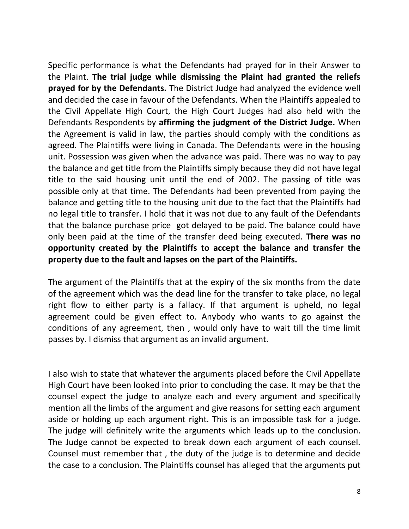Specific performance is what the Defendants had prayed for in their Answer to the Plaint. **The trial judge while dismissing the Plaint had granted the reliefs prayed for by the Defendants.** The District Judge had analyzed the evidence well and decided the case in favour of the Defendants. When the Plaintiffs appealed to the Civil Appellate High Court, the High Court Judges had also held with the Defendants Respondents by **affirming the judgment of the District Judge.** When the Agreement is valid in law, the parties should comply with the conditions as agreed. The Plaintiffs were living in Canada. The Defendants were in the housing unit. Possession was given when the advance was paid. There was no way to pay the balance and get title from the Plaintiffs simply because they did not have legal title to the said housing unit until the end of 2002. The passing of title was possible only at that time. The Defendants had been prevented from paying the balance and getting title to the housing unit due to the fact that the Plaintiffs had no legal title to transfer. I hold that it was not due to any fault of the Defendants that the balance purchase price got delayed to be paid. The balance could have only been paid at the time of the transfer deed being executed. **There was no opportunity created by the Plaintiffs to accept the balance and transfer the property due to the fault and lapses on the part of the Plaintiffs.**

The argument of the Plaintiffs that at the expiry of the six months from the date of the agreement which was the dead line for the transfer to take place, no legal right flow to either party is a fallacy. If that argument is upheld, no legal agreement could be given effect to. Anybody who wants to go against the conditions of any agreement, then , would only have to wait till the time limit passes by. I dismiss that argument as an invalid argument.

I also wish to state that whatever the arguments placed before the Civil Appellate High Court have been looked into prior to concluding the case. It may be that the counsel expect the judge to analyze each and every argument and specifically mention all the limbs of the argument and give reasons for setting each argument aside or holding up each argument right. This is an impossible task for a judge. The judge will definitely write the arguments which leads up to the conclusion. The Judge cannot be expected to break down each argument of each counsel. Counsel must remember that , the duty of the judge is to determine and decide the case to a conclusion. The Plaintiffs counsel has alleged that the arguments put